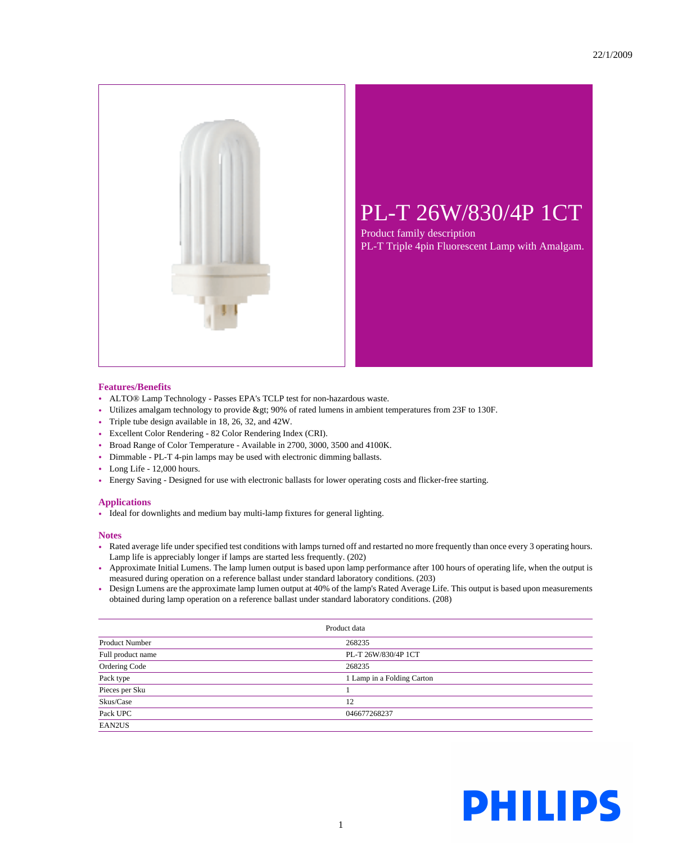

## PL-T 26W/830/4P 1CT

Product family description PL-T Triple 4pin Fluorescent Lamp with Amalgam.

## **Features/Benefits**

- ALTO® Lamp Technology Passes EPA's TCLP test for non-hazardous waste.
- Utilizes amalgam technology to provide > 90% of rated lumens in ambient temperatures from 23F to 130F.
- Triple tube design available in 18, 26, 32, and 42W.
- Excellent Color Rendering 82 Color Rendering Index (CRI).
- Broad Range of Color Temperature Available in 2700, 3000, 3500 and 4100K.
- Dimmable PL-T 4-pin lamps may be used with electronic dimming ballasts.
- Long Life 12,000 hours.
- Energy Saving Designed for use with electronic ballasts for lower operating costs and flicker-free starting.

## **Applications**

• Ideal for downlights and medium bay multi-lamp fixtures for general lighting.

## **Notes**

- Rated average life under specified test conditions with lamps turned off and restarted no more frequently than once every 3 operating hours. Lamp life is appreciably longer if lamps are started less frequently. (202)
- Approximate Initial Lumens. The lamp lumen output is based upon lamp performance after 100 hours of operating life, when the output is measured during operation on a reference ballast under standard laboratory conditions. (203)
- Design Lumens are the approximate lamp lumen output at 40% of the lamp's Rated Average Life. This output is based upon measurements obtained during lamp operation on a reference ballast under standard laboratory conditions. (208)

| Product data          |                            |  |
|-----------------------|----------------------------|--|
| <b>Product Number</b> | 268235                     |  |
| Full product name     | PL-T 26W/830/4P 1CT        |  |
| Ordering Code         | 268235                     |  |
| Pack type             | 1 Lamp in a Folding Carton |  |
| Pieces per Sku        |                            |  |
| Skus/Case             | 12                         |  |
| Pack UPC              | 046677268237               |  |
| EAN2US                |                            |  |

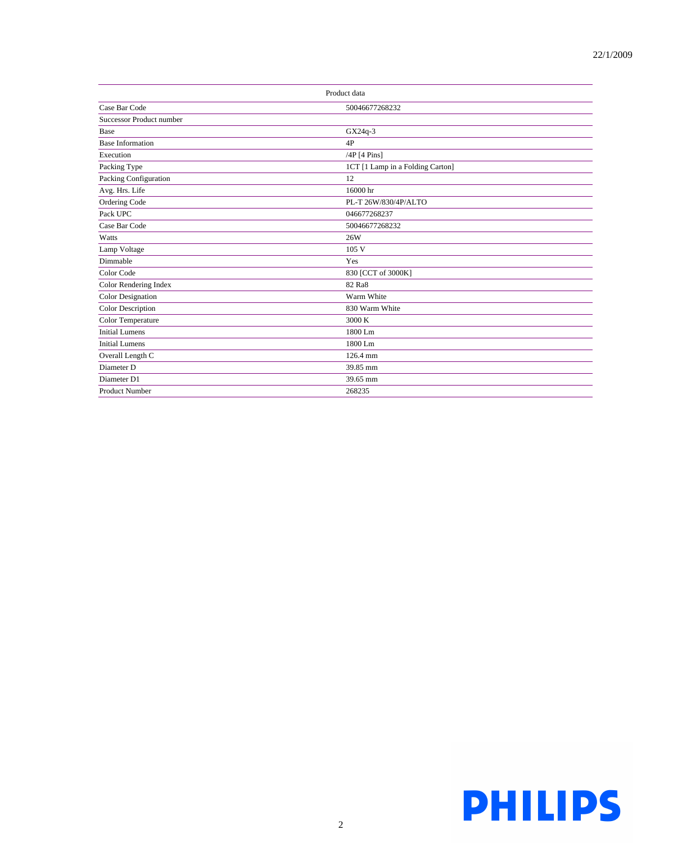| Product data             |                                  |  |
|--------------------------|----------------------------------|--|
| Case Bar Code            | 50046677268232                   |  |
| Successor Product number |                                  |  |
| Base                     | GX24q-3                          |  |
| <b>Base Information</b>  | 4P                               |  |
| Execution                | $/4P$ [4 Pins]                   |  |
| Packing Type             | 1CT [1 Lamp in a Folding Carton] |  |
| Packing Configuration    | 12                               |  |
| Avg. Hrs. Life           | 16000 hr                         |  |
| Ordering Code            | PL-T 26W/830/4P/ALTO             |  |
| Pack UPC                 | 046677268237                     |  |
| Case Bar Code            | 50046677268232                   |  |
| Watts                    | 26W                              |  |
| Lamp Voltage             | 105V                             |  |
| Dimmable                 | Yes                              |  |
| Color Code               | 830 [CCT of 3000K]               |  |
| Color Rendering Index    | 82 Ra8                           |  |
| <b>Color Designation</b> | Warm White                       |  |
| Color Description        | 830 Warm White                   |  |
| Color Temperature        | 3000 K                           |  |
| <b>Initial Lumens</b>    | 1800 Lm                          |  |
| <b>Initial Lumens</b>    | 1800 Lm                          |  |
| Overall Length C         | 126.4 mm                         |  |
| Diameter D               | 39.85 mm                         |  |
| Diameter D1              | 39.65 mm                         |  |
| <b>Product Number</b>    | 268235                           |  |